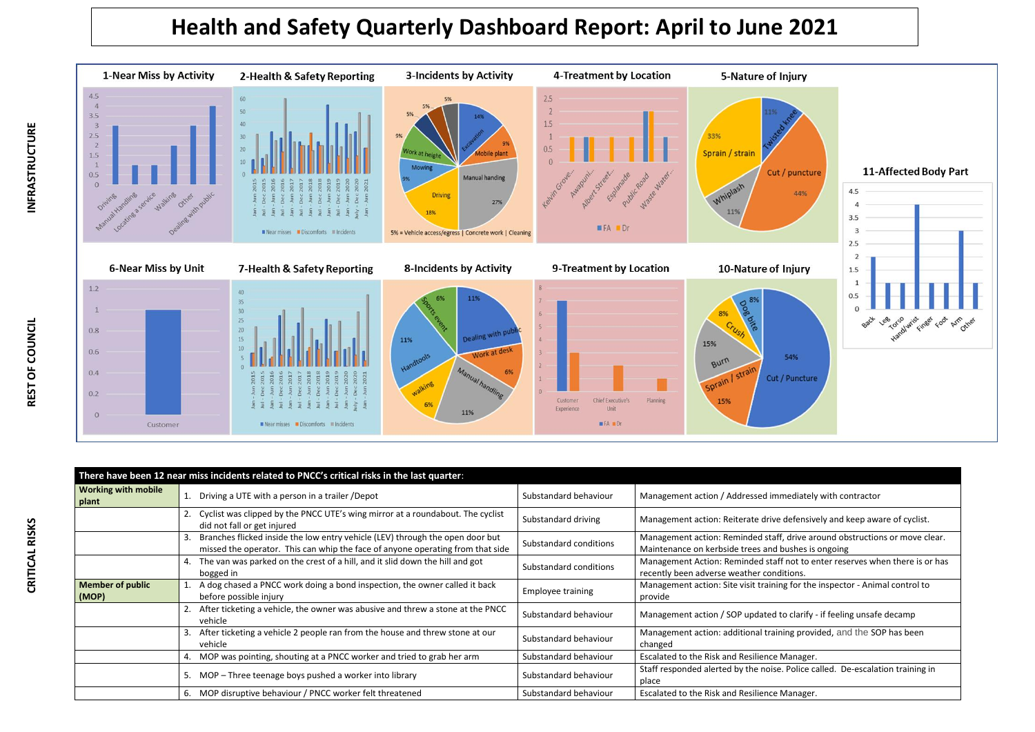## **Health and Safety Quarterly Dashboard Report: April to June 2021**



|                                     | There have been 12 near miss incidents related to PNCC's critical risks in the last quarter:                                                                    |                        |                                                                                                                                    |
|-------------------------------------|-----------------------------------------------------------------------------------------------------------------------------------------------------------------|------------------------|------------------------------------------------------------------------------------------------------------------------------------|
| <b>Working with mobile</b><br>plant | Driving a UTE with a person in a trailer / Depot                                                                                                                | Substandard behaviour  | Management action / Addressed immediately with contractor                                                                          |
|                                     | Cyclist was clipped by the PNCC UTE's wing mirror at a roundabout. The cyclist<br>did not fall or get injured                                                   | Substandard driving    | Management action: Reiterate drive defensively and keep aware of cyclist.                                                          |
|                                     | Branches flicked inside the low entry vehicle (LEV) through the open door but<br>missed the operator. This can whip the face of anyone operating from that side | Substandard conditions | Management action: Reminded staff, drive around obstructions or move clear.<br>Maintenance on kerbside trees and bushes is ongoing |
|                                     | 4. The van was parked on the crest of a hill, and it slid down the hill and got<br>bogged in                                                                    | Substandard conditions | Management Action: Reminded staff not to enter reserves when there is or has<br>recently been adverse weather conditions.          |
| <b>Member of public</b><br>(MOP)    | A dog chased a PNCC work doing a bond inspection, the owner called it back<br>before possible injury                                                            | Employee training      | Management action: Site visit training for the inspector - Animal control to<br>provide                                            |
|                                     | 2. After ticketing a vehicle, the owner was abusive and threw a stone at the PNCC<br>vehicle                                                                    | Substandard behaviour  | Management action / SOP updated to clarify - if feeling unsafe decamp                                                              |
|                                     | After ticketing a vehicle 2 people ran from the house and threw stone at our<br>vehicle                                                                         | Substandard behaviour  | Management action: additional training provided, and the SOP has been<br>changed                                                   |
|                                     | 4. MOP was pointing, shouting at a PNCC worker and tried to grab her arm                                                                                        | Substandard behaviour  | Escalated to the Risk and Resilience Manager.                                                                                      |
|                                     | 5. MOP - Three teenage boys pushed a worker into library                                                                                                        | Substandard behaviour  | Staff responded alerted by the noise. Police called. De-escalation training in<br>place                                            |
|                                     | 6. MOP disruptive behaviour / PNCC worker felt threatened                                                                                                       | Substandard behaviour  | Escalated to the Risk and Resilience Manager.                                                                                      |